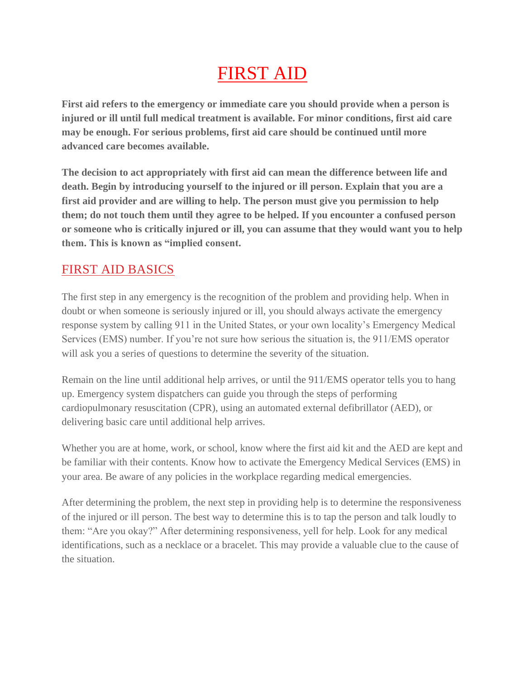# FIRST AID

**First aid refers to the emergency or immediate care you should provide when a person is injured or ill until full medical treatment is available. For minor conditions, first aid care may be enough. For serious problems, first aid care should be continued until more advanced care becomes available.**

**The decision to act appropriately with first aid can mean the difference between life and death. Begin by introducing yourself to the injured or ill person. Explain that you are a first aid provider and are willing to help. The person must give you permission to help them; do not touch them until they agree to be helped. If you encounter a confused person or someone who is critically injured or ill, you can assume that they would want you to help them. This is known as "implied consent.**

## FIRST AID BASICS

The first step in any emergency is the recognition of the problem and providing help. When in doubt or when someone is seriously injured or ill, you should always activate the emergency response system by calling 911 in the United States, or your own locality's Emergency Medical Services (EMS) number. If you're not sure how serious the situation is, the 911/EMS operator will ask you a series of questions to determine the severity of the situation.

Remain on the line until additional help arrives, or until the 911/EMS operator tells you to hang up. Emergency system dispatchers can guide you through the steps of performing cardiopulmonary resuscitation (CPR), using an automated external defibrillator (AED), or delivering basic care until additional help arrives.

Whether you are at home, work, or school, know where the first aid kit and the AED are kept and be familiar with their contents. Know how to activate the Emergency Medical Services (EMS) in your area. Be aware of any policies in the workplace regarding medical emergencies.

After determining the problem, the next step in providing help is to determine the responsiveness of the injured or ill person. The best way to determine this is to tap the person and talk loudly to them: "Are you okay?" After determining responsiveness, yell for help. Look for any medical identifications, such as a necklace or a bracelet. This may provide a valuable clue to the cause of the situation.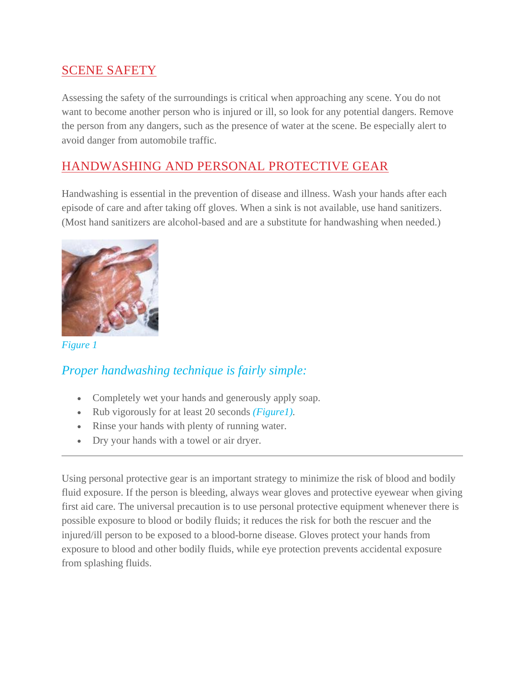### SCENE SAFETY

Assessing the safety of the surroundings is critical when approaching any scene. You do not want to become another person who is injured or ill, so look for any potential dangers. Remove the person from any dangers, such as the presence of water at the scene. Be especially alert to avoid danger from automobile traffic.

### HANDWASHING AND PERSONAL PROTECTIVE GEAR

Handwashing is essential in the prevention of disease and illness. Wash your hands after each episode of care and after taking off gloves. When a sink is not available, use hand sanitizers. (Most hand sanitizers are alcohol-based and are a substitute for handwashing when needed.)



*Figure 1*

#### *Proper handwashing technique is fairly simple:*

- Completely wet your hands and generously apply soap.
- Rub vigorously for at least 20 seconds *(Figure1).*
- Rinse your hands with plenty of running water.
- Dry your hands with a towel or air dryer.

Using personal protective gear is an important strategy to minimize the risk of blood and bodily fluid exposure. If the person is bleeding, always wear gloves and protective eyewear when giving first aid care. The universal precaution is to use personal protective equipment whenever there is possible exposure to blood or bodily fluids; it reduces the risk for both the rescuer and the injured/ill person to be exposed to a blood-borne disease. Gloves protect your hands from exposure to blood and other bodily fluids, while eye protection prevents accidental exposure from splashing fluids.